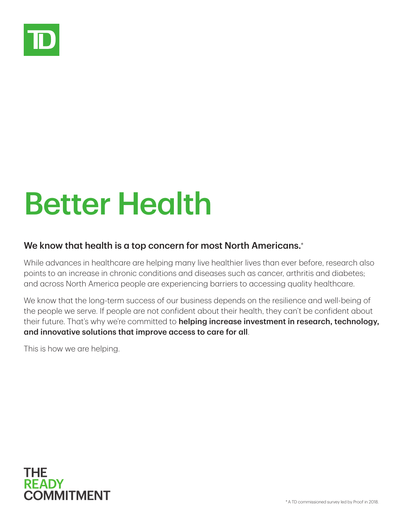

## Better Health

## We know that health is a top concern for most North Americans.\*

While advances in healthcare are helping many live healthier lives than ever before, research also points to an increase in chronic conditions and diseases such as cancer, arthritis and diabetes; and across North America people are experiencing barriers to accessing quality healthcare.

We know that the long-term success of our business depends on the resilience and well-being of the people we serve. If people are not confident about their health, they can't be confident about their future. That's why we're committed to helping increase investment in research, technology, and innovative solutions that improve access to care for all.

This is how we are helping.